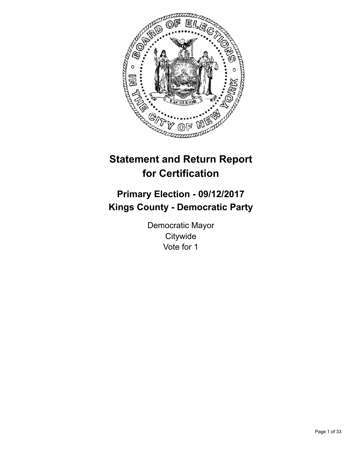

# **Statement and Return Report for Certification**

## **Primary Election - 09/12/2017 Kings County - Democratic Party**

Democratic Mayor **Citywide** Vote for 1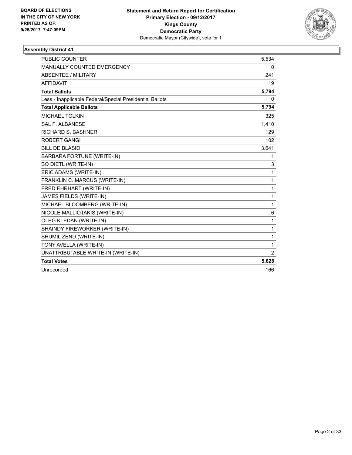

| PUBLIC COUNTER                                           | 5,534          |
|----------------------------------------------------------|----------------|
| <b>MANUALLY COUNTED EMERGENCY</b>                        | 0              |
| <b>ABSENTEE / MILITARY</b>                               | 241            |
| <b>AFFIDAVIT</b>                                         | 19             |
| <b>Total Ballots</b>                                     | 5,794          |
| Less - Inapplicable Federal/Special Presidential Ballots | 0              |
| <b>Total Applicable Ballots</b>                          | 5,794          |
| <b>MICHAEL TOLKIN</b>                                    | 325            |
| <b>SAL F. ALBANESE</b>                                   | 1,410          |
| <b>RICHARD S. BASHNER</b>                                | 129            |
| <b>ROBERT GANGI</b>                                      | 102            |
| <b>BILL DE BLASIO</b>                                    | 3,641          |
| <b>BARBARA FORTUNE (WRITE-IN)</b>                        | 1              |
| <b>BO DIETL (WRITE-IN)</b>                               | 3              |
| ERIC ADAMS (WRITE-IN)                                    | 1              |
| FRANKLIN C. MARCUS (WRITE-IN)                            | 1              |
| FRED EHRHART (WRITE-IN)                                  | 1              |
| JAMES FIELDS (WRITE-IN)                                  | 1              |
| MICHAEL BLOOMBERG (WRITE-IN)                             | 1              |
| NICOLE MALLIOTAKIS (WRITE-IN)                            | 6              |
| OLEG KLEDAN (WRITE-IN)                                   | $\mathbf{1}$   |
| SHAINDY FIREWORKER (WRITE-IN)                            | $\mathbf{1}$   |
| SHUMIL ZEND (WRITE-IN)                                   | 1              |
| TONY AVELLA (WRITE-IN)                                   | 1              |
| UNATTRIBUTABLE WRITE-IN (WRITE-IN)                       | $\overline{2}$ |
| <b>Total Votes</b>                                       | 5,628          |
| Unrecorded                                               | 166            |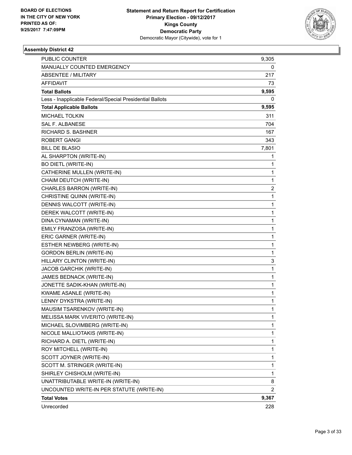

| <b>PUBLIC COUNTER</b>                                    | 9,305 |
|----------------------------------------------------------|-------|
| MANUALLY COUNTED EMERGENCY                               | 0     |
| <b>ABSENTEE / MILITARY</b>                               | 217   |
| AFFIDAVIT                                                | 73    |
| <b>Total Ballots</b>                                     | 9,595 |
| Less - Inapplicable Federal/Special Presidential Ballots | 0     |
| <b>Total Applicable Ballots</b>                          | 9,595 |
| <b>MICHAEL TOLKIN</b>                                    | 311   |
| <b>SAL F. ALBANESE</b>                                   | 704   |
| <b>RICHARD S. BASHNER</b>                                | 167   |
| <b>ROBERT GANGI</b>                                      | 343   |
| <b>BILL DE BLASIO</b>                                    | 7,801 |
| AL SHARPTON (WRITE-IN)                                   | 1     |
| <b>BO DIETL (WRITE-IN)</b>                               | 1     |
| CATHERINE MULLEN (WRITE-IN)                              | 1     |
| CHAIM DEUTCH (WRITE-IN)                                  | 1     |
| CHARLES BARRON (WRITE-IN)                                | 2     |
| CHRISTINE QUINN (WRITE-IN)                               | 1     |
| DENNIS WALCOTT (WRITE-IN)                                | 1     |
| DEREK WALCOTT (WRITE-IN)                                 | 1     |
| DINA CYNAMAN (WRITE-IN)                                  | 1     |
| EMILY FRANZOSA (WRITE-IN)                                | 1     |
| ERIC GARNER (WRITE-IN)                                   | 1     |
| ESTHER NEWBERG (WRITE-IN)                                | 1     |
| <b>GORDON BERLIN (WRITE-IN)</b>                          | 1     |
| HILLARY CLINTON (WRITE-IN)                               | 3     |
| JACOB GARCHIK (WRITE-IN)                                 | 1     |
| JAMES BEDNACK (WRITE-IN)                                 | 1     |
| JONETTE SADIK-KHAN (WRITE-IN)                            | 1     |
| KWAME ASANLE (WRITE-IN)                                  | 1     |
| LENNY DYKSTRA (WRITE-IN)                                 | 1     |
| MAUSIM TSARENKOV (WRITE-IN)                              | 1     |
| MELISSA MARK VIVERITO (WRITE-IN)                         | 1     |
| MICHAEL SLOVIMBERG (WRITE-IN)                            | 1     |
| NICOLE MALLIOTAKIS (WRITE-IN)                            | 1     |
| RICHARD A. DIETL (WRITE-IN)                              | 1     |
| ROY MITCHELL (WRITE-IN)                                  | 1     |
| SCOTT JOYNER (WRITE-IN)                                  | 1     |
| SCOTT M. STRINGER (WRITE-IN)                             | 1     |
| SHIRLEY CHISHOLM (WRITE-IN)                              | 1     |
| UNATTRIBUTABLE WRITE-IN (WRITE-IN)                       | 8     |
| UNCOUNTED WRITE-IN PER STATUTE (WRITE-IN)                | 2     |
| <b>Total Votes</b>                                       | 9,367 |
| Unrecorded                                               | 228   |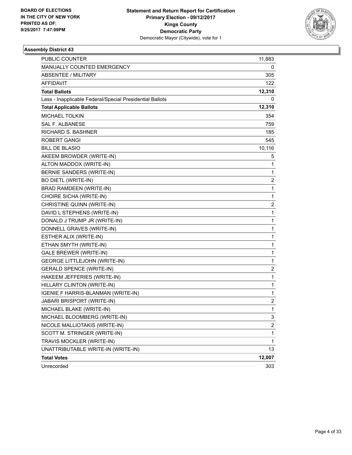

| <b>PUBLIC COUNTER</b>                                    | 11,883                  |
|----------------------------------------------------------|-------------------------|
| MANUALLY COUNTED EMERGENCY                               | 0                       |
| <b>ABSENTEE / MILITARY</b>                               | 305                     |
| AFFIDAVIT                                                | 122                     |
| <b>Total Ballots</b>                                     | 12,310                  |
| Less - Inapplicable Federal/Special Presidential Ballots | 0                       |
| <b>Total Applicable Ballots</b>                          | 12,310                  |
| <b>MICHAEL TOLKIN</b>                                    | 354                     |
| <b>SAL F. ALBANESE</b>                                   | 759                     |
| <b>RICHARD S. BASHNER</b>                                | 185                     |
| <b>ROBERT GANGI</b>                                      | 545                     |
| <b>BILL DE BLASIO</b>                                    | 10,116                  |
| AKEEM BROWDER (WRITE-IN)                                 | 5                       |
| ALTON MADDOX (WRITE-IN)                                  | $\mathbf{1}$            |
| BERNIE SANDERS (WRITE-IN)                                | 1                       |
| <b>BO DIETL (WRITE-IN)</b>                               | 2                       |
| <b>BRAD RAMDEEN (WRITE-IN)</b>                           | $\mathbf{1}$            |
| CHOIRE SICHA (WRITE-IN)                                  | 1                       |
| CHRISTINE QUINN (WRITE-IN)                               | 2                       |
| DAVID L STEPHENS (WRITE-IN)                              | $\mathbf{1}$            |
| DONALD J TRUMP JR (WRITE-IN)                             | 1                       |
| DONNELL GRAVES (WRITE-IN)                                | $\mathbf 1$             |
| ESTHER ALIX (WRITE-IN)                                   | 1                       |
| ETHAN SMYTH (WRITE-IN)                                   | 1                       |
| <b>GALE BREWER (WRITE-IN)</b>                            | 1                       |
| <b>GEORGE LITTLEJOHN (WRITE-IN)</b>                      | $\mathbf{1}$            |
| <b>GERALD SPENCE (WRITE-IN)</b>                          | $\overline{\mathbf{c}}$ |
| HAKEEM JEFFERIES (WRITE-IN)                              | 1                       |
| HILLARY CLINTON (WRITE-IN)                               | 1                       |
| IGENIE F HARRIS-BLANMAN (WRITE-IN)                       | 1                       |
| JABARI BRISPORT (WRITE-IN)                               | 2                       |
| MICHAEL BLAKE (WRITE-IN)                                 | 1                       |
| MICHAEL BLOOMBERG (WRITE-IN)                             | 3                       |
| NICOLE MALLIOTAKIS (WRITE-IN)                            | $\overline{c}$          |
| SCOTT M. STRINGER (WRITE-IN)                             | 1                       |
| TRAVIS MOCKLER (WRITE-IN)                                | 1                       |
| UNATTRIBUTABLE WRITE-IN (WRITE-IN)                       | 13                      |
| <b>Total Votes</b>                                       | 12,007                  |
| Unrecorded                                               | 303                     |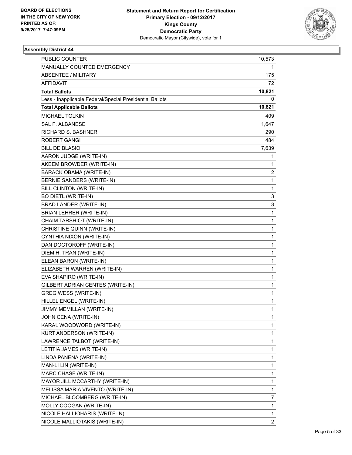

| <b>PUBLIC COUNTER</b>                                    | 10,573         |
|----------------------------------------------------------|----------------|
| MANUALLY COUNTED EMERGENCY                               | 1              |
| ABSENTEE / MILITARY                                      | 175            |
| <b>AFFIDAVIT</b>                                         | 72             |
| <b>Total Ballots</b>                                     | 10,821         |
| Less - Inapplicable Federal/Special Presidential Ballots | 0              |
| <b>Total Applicable Ballots</b>                          | 10,821         |
| <b>MICHAEL TOLKIN</b>                                    | 409            |
| <b>SAL F. ALBANESE</b>                                   | 1,647          |
| <b>RICHARD S. BASHNER</b>                                | 290            |
| <b>ROBERT GANGI</b>                                      | 484            |
| <b>BILL DE BLASIO</b>                                    | 7,639          |
| AARON JUDGE (WRITE-IN)                                   | 1              |
| AKEEM BROWDER (WRITE-IN)                                 | 1              |
| BARACK OBAMA (WRITE-IN)                                  | 2              |
| BERNIE SANDERS (WRITE-IN)                                | 1              |
| BILL CLINTON (WRITE-IN)                                  | 1              |
| <b>BO DIETL (WRITE-IN)</b>                               | 3              |
| <b>BRAD LANDER (WRITE-IN)</b>                            | 3              |
| BRIAN LEHRER (WRITE-IN)                                  | 1              |
| CHAIM TARSHIOT (WRITE-IN)                                | 1              |
| CHRISTINE QUINN (WRITE-IN)                               | 1              |
| CYNTHIA NIXON (WRITE-IN)                                 | 1              |
| DAN DOCTOROFF (WRITE-IN)                                 | 1              |
| DIEM H. TRAN (WRITE-IN)                                  | 1              |
| ELEAN BARON (WRITE-IN)                                   | 1              |
| ELIZABETH WARREN (WRITE-IN)                              | 1              |
| EVA SHAPIRO (WRITE-IN)                                   | 1              |
| GILBERT ADRIAN CENTES (WRITE-IN)                         | 1              |
| GREG WESS (WRITE-IN)                                     | 1              |
| HILLEL ENGEL (WRITE-IN)                                  | 1              |
| JIMMY MEMILLAN (WRITE-IN)                                | 1              |
| JOHN CENA (WRITE-IN)                                     | 1              |
| KARAL WOODWORD (WRITE-IN)                                | 1              |
| KURT ANDERSON (WRITE-IN)                                 | 1              |
| LAWRENCE TALBOT (WRITE-IN)                               | 1              |
| LETITIA JAMES (WRITE-IN)                                 | 1              |
| LINDA PANENA (WRITE-IN)                                  | 1              |
| MAN-LI LIN (WRITE-IN)                                    | 1              |
| MARC CHASE (WRITE-IN)                                    | 1              |
| MAYOR JILL MCCARTHY (WRITE-IN)                           | 1              |
| MELISSA MARIA VIVENTO (WRITE-IN)                         | 1              |
| MICHAEL BLOOMBERG (WRITE-IN)                             | 7              |
| MOLLY COOGAN (WRITE-IN)                                  | 1              |
| NICOLE HALLIOHARIS (WRITE-IN)                            | 1              |
| NICOLE MALLIOTAKIS (WRITE-IN)                            | $\overline{2}$ |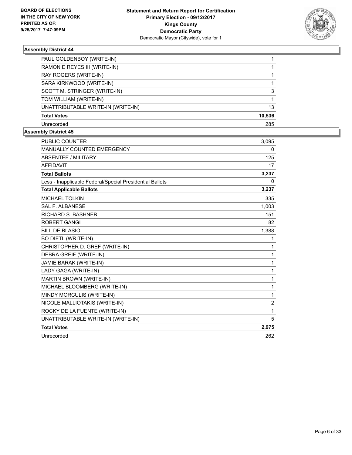

| PAUL GOLDENBOY (WRITE-IN)          |        |
|------------------------------------|--------|
| RAMON E REYES III (WRITE-IN)       |        |
| RAY ROGERS (WRITE-IN)              |        |
| SARA KIRKWOOD (WRITE-IN)           |        |
| SCOTT M. STRINGER (WRITE-IN)       | 3      |
| TOM WILLIAM (WRITE-IN)             |        |
| UNATTRIBUTABLE WRITE-IN (WRITE-IN) | 13     |
| <b>Total Votes</b>                 | 10,536 |
| Unrecorded                         | 285    |

| <b>PUBLIC COUNTER</b>                                    | 3,095          |
|----------------------------------------------------------|----------------|
| MANUALLY COUNTED EMERGENCY                               | 0              |
| ABSENTEE / MILITARY                                      | 125            |
| <b>AFFIDAVIT</b>                                         | 17             |
| <b>Total Ballots</b>                                     | 3,237          |
| Less - Inapplicable Federal/Special Presidential Ballots | 0              |
| <b>Total Applicable Ballots</b>                          | 3,237          |
| <b>MICHAEL TOLKIN</b>                                    | 335            |
| <b>SAL F. ALBANESE</b>                                   | 1,003          |
| <b>RICHARD S. BASHNER</b>                                | 151            |
| <b>ROBERT GANGI</b>                                      | 82             |
| <b>BILL DE BLASIO</b>                                    | 1,388          |
| <b>BO DIETL (WRITE-IN)</b>                               | 1              |
| CHRISTOPHER D. GREF (WRITE-IN)                           | 1              |
| DEBRA GREIF (WRITE-IN)                                   | 1              |
| JAMIE BARAK (WRITE-IN)                                   | 1              |
| LADY GAGA (WRITE-IN)                                     | 1              |
| MARTIN BROWN (WRITE-IN)                                  | 1              |
| MICHAEL BLOOMBERG (WRITE-IN)                             | 1              |
| MINDY MORCULIS (WRITE-IN)                                | 1              |
| NICOLE MALLIOTAKIS (WRITE-IN)                            | $\overline{2}$ |
| ROCKY DE LA FUENTE (WRITE-IN)                            | 1              |
| UNATTRIBUTABLE WRITE-IN (WRITE-IN)                       | 5              |
| <b>Total Votes</b>                                       | 2,975          |
| Unrecorded                                               | 262            |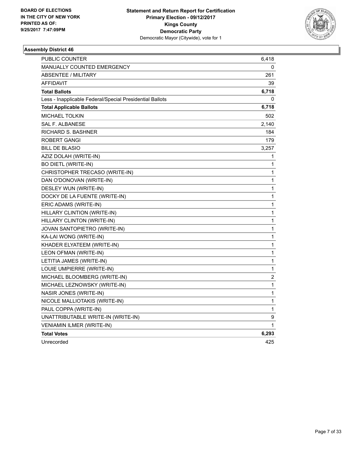

| PUBLIC COUNTER                                           | 6,418            |
|----------------------------------------------------------|------------------|
| <b>MANUALLY COUNTED EMERGENCY</b>                        | 0                |
| ABSENTEE / MILITARY                                      | 261              |
| <b>AFFIDAVIT</b>                                         | 39               |
| <b>Total Ballots</b>                                     | 6,718            |
| Less - Inapplicable Federal/Special Presidential Ballots | 0                |
| <b>Total Applicable Ballots</b>                          | 6,718            |
| <b>MICHAEL TOLKIN</b>                                    | 502              |
| <b>SAL F. ALBANESE</b>                                   | 2,140            |
| <b>RICHARD S. BASHNER</b>                                | 184              |
| ROBERT GANGI                                             | 179              |
| <b>BILL DE BLASIO</b>                                    | 3,257            |
| AZIZ DOLAH (WRITE-IN)                                    | 1                |
| <b>BO DIETL (WRITE-IN)</b>                               | 1                |
| CHRISTOPHER TRECASO (WRITE-IN)                           | 1                |
| DAN O'DONOVAN (WRITE-IN)                                 | 1                |
| DESLEY WUN (WRITE-IN)                                    | 1                |
| DOCKY DE LA FUENTE (WRITE-IN)                            | 1                |
| ERIC ADAMS (WRITE-IN)                                    | 1                |
| HILLARY CLINTION (WRITE-IN)                              | 1                |
| HILLARY CLINTON (WRITE-IN)                               | 1                |
| JOVAN SANTOPIETRO (WRITE-IN)                             | 1                |
| KA-LAI WONG (WRITE-IN)                                   | 1                |
| KHADER ELYATEEM (WRITE-IN)                               | 1                |
| LEON OFMAN (WRITE-IN)                                    | 1                |
| LETITIA JAMES (WRITE-IN)                                 | $\mathbf 1$      |
| LOUIE UMPIERRE (WRITE-IN)                                | 1                |
| MICHAEL BLOOMBERG (WRITE-IN)                             | $\boldsymbol{2}$ |
| MICHAEL LEZNOWSKY (WRITE-IN)                             | 1                |
| NASIR JONES (WRITE-IN)                                   | 1                |
| NICOLE MALLIOTAKIS (WRITE-IN)                            | 1                |
| PAUL COPPA (WRITE-IN)                                    | 1                |
| UNATTRIBUTABLE WRITE-IN (WRITE-IN)                       | 9                |
| VENIAMIN ILMER (WRITE-IN)                                | 1                |
| <b>Total Votes</b>                                       | 6,293            |
| Unrecorded                                               | 425              |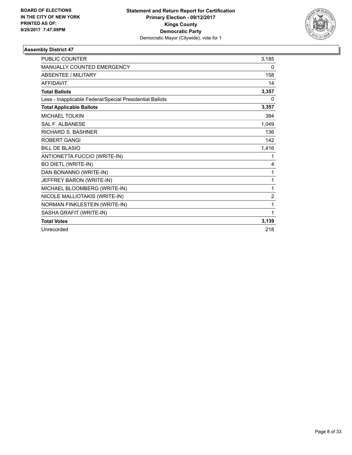

| <b>PUBLIC COUNTER</b>                                    | 3.185          |
|----------------------------------------------------------|----------------|
| <b>MANUALLY COUNTED EMERGENCY</b>                        | $\Omega$       |
| <b>ABSENTEE / MILITARY</b>                               | 158            |
| <b>AFFIDAVIT</b>                                         | 14             |
| <b>Total Ballots</b>                                     | 3,357          |
| Less - Inapplicable Federal/Special Presidential Ballots | 0              |
| <b>Total Applicable Ballots</b>                          | 3,357          |
| <b>MICHAEL TOLKIN</b>                                    | 384            |
| <b>SAL F. ALBANESE</b>                                   | 1,049          |
| <b>RICHARD S. BASHNER</b>                                | 136            |
| <b>ROBERT GANGI</b>                                      | 142            |
| <b>BILL DE BLASIO</b>                                    | 1,416          |
| ANTIONETTA FUCCIO (WRITE-IN)                             | 1              |
| <b>BO DIETL (WRITE-IN)</b>                               | 4              |
| DAN BONANNO (WRITE-IN)                                   | 1              |
| JEFFREY BARON (WRITE-IN)                                 | 1              |
| MICHAEL BLOOMBERG (WRITE-IN)                             | 1              |
| NICOLE MALLIOTAKIS (WRITE-IN)                            | $\overline{2}$ |
| NORMAN FINKLESTEIN (WRITE-IN)                            | 1              |
| SASHA GRAFIT (WRITE-IN)                                  | 1              |
| <b>Total Votes</b>                                       | 3,139          |
| Unrecorded                                               | 218            |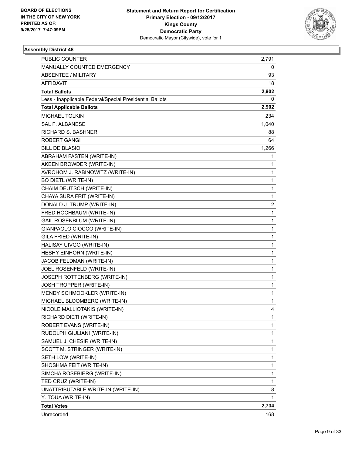

| <b>PUBLIC COUNTER</b>                                    | 2,791          |
|----------------------------------------------------------|----------------|
| MANUALLY COUNTED EMERGENCY                               | 0              |
| <b>ABSENTEE / MILITARY</b>                               | 93             |
| AFFIDAVIT                                                | 18             |
| <b>Total Ballots</b>                                     | 2,902          |
| Less - Inapplicable Federal/Special Presidential Ballots | 0              |
| <b>Total Applicable Ballots</b>                          | 2,902          |
| <b>MICHAEL TOLKIN</b>                                    | 234            |
| <b>SAL F. ALBANESE</b>                                   | 1,040          |
| <b>RICHARD S. BASHNER</b>                                | 88             |
| <b>ROBERT GANGI</b>                                      | 64             |
| <b>BILL DE BLASIO</b>                                    | 1,266          |
| ABRAHAM FASTEN (WRITE-IN)                                | 1              |
| AKEEN BROWDER (WRITE-IN)                                 | $\mathbf{1}$   |
| AVROHOM J. RABINOWITZ (WRITE-IN)                         | 1              |
| <b>BO DIETL (WRITE-IN)</b>                               | $\mathbf 1$    |
| CHAIM DEUTSCH (WRITE-IN)                                 | $\mathbf{1}$   |
| CHAYA SURA FRIT (WRITE-IN)                               | 1              |
| DONALD J. TRUMP (WRITE-IN)                               | $\overline{2}$ |
| FRED HOCHBAUM (WRITE-IN)                                 | $\mathbf{1}$   |
| <b>GAIL ROSENBLUM (WRITE-IN)</b>                         | 1              |
| GIANPAOLO CIOCCO (WRITE-IN)                              | $\mathbf 1$    |
| GILA FRIED (WRITE-IN)                                    | $\mathbf{1}$   |
| HALISAY UIVGO (WRITE-IN)                                 | 1              |
| HESHY EINHORN (WRITE-IN)                                 | 1              |
| JACOB FELDMAN (WRITE-IN)                                 | $\mathbf{1}$   |
| JOEL ROSENFELD (WRITE-IN)                                | 1              |
| JOSEPH ROTTENBERG (WRITE-IN)                             | $\mathbf 1$    |
| JOSH TROPPER (WRITE-IN)                                  | $\mathbf{1}$   |
| MENDY SCHMOOKLER (WRITE-IN)                              | 1              |
| MICHAEL BLOOMBERG (WRITE-IN)                             | 1              |
| NICOLE MALLIOTAKIS (WRITE-IN)                            | 4              |
| RICHARD DIETI (WRITE-IN)                                 | 1              |
| ROBERT EVANS (WRITE-IN)                                  | 1              |
| RUDOLPH GIULIANI (WRITE-IN)                              | 1              |
| SAMUEL J. CHESIR (WRITE-IN)                              | 1              |
| SCOTT M. STRINGER (WRITE-IN)                             | 1              |
| SETH LOW (WRITE-IN)                                      | 1              |
| SHOSHMA FEIT (WRITE-IN)                                  | 1              |
| SIMCHA ROSEBIERG (WRITE-IN)                              | 1              |
| TED CRUZ (WRITE-IN)                                      | 1              |
| UNATTRIBUTABLE WRITE-IN (WRITE-IN)                       | 8              |
| Y. TOUA (WRITE-IN)                                       | 1              |
| <b>Total Votes</b>                                       | 2,734          |
| Unrecorded                                               | 168            |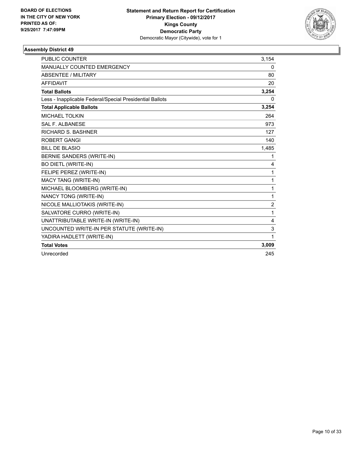

| <b>PUBLIC COUNTER</b>                                    | 3,154          |
|----------------------------------------------------------|----------------|
| MANUALLY COUNTED EMERGENCY                               | 0              |
| <b>ABSENTEE / MILITARY</b>                               | 80             |
| <b>AFFIDAVIT</b>                                         | 20             |
| <b>Total Ballots</b>                                     | 3,254          |
| Less - Inapplicable Federal/Special Presidential Ballots | 0              |
| <b>Total Applicable Ballots</b>                          | 3,254          |
| <b>MICHAEL TOLKIN</b>                                    | 264            |
| <b>SAL F. ALBANESE</b>                                   | 973            |
| <b>RICHARD S. BASHNER</b>                                | 127            |
| <b>ROBERT GANGI</b>                                      | 140            |
| <b>BILL DE BLASIO</b>                                    | 1,485          |
| <b>BERNIE SANDERS (WRITE-IN)</b>                         | 1              |
| <b>BO DIETL (WRITE-IN)</b>                               | 4              |
| FELIPE PEREZ (WRITE-IN)                                  | 1              |
| MACY TANG (WRITE-IN)                                     | 1              |
| MICHAEL BLOOMBERG (WRITE-IN)                             | 1              |
| NANCY TONG (WRITE-IN)                                    | 1              |
| NICOLE MALLIOTAKIS (WRITE-IN)                            | $\overline{c}$ |
| SALVATORE CURRO (WRITE-IN)                               | 1              |
| UNATTRIBUTABLE WRITE-IN (WRITE-IN)                       | 4              |
| UNCOUNTED WRITE-IN PER STATUTE (WRITE-IN)                | 3              |
| YADIRA HADLETT (WRITE-IN)                                | 1              |
| <b>Total Votes</b>                                       | 3,009          |
| Unrecorded                                               | 245            |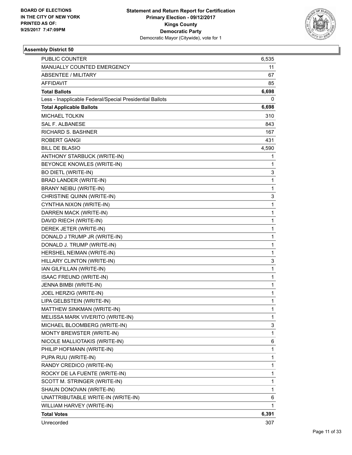

| <b>PUBLIC COUNTER</b>                                    | 6,535        |
|----------------------------------------------------------|--------------|
| MANUALLY COUNTED EMERGENCY                               | 11           |
| <b>ABSENTEE / MILITARY</b>                               | 67           |
| AFFIDAVIT                                                | 85           |
| <b>Total Ballots</b>                                     | 6,698        |
| Less - Inapplicable Federal/Special Presidential Ballots | 0            |
| <b>Total Applicable Ballots</b>                          | 6,698        |
| <b>MICHAEL TOLKIN</b>                                    | 310          |
| <b>SAL F. ALBANESE</b>                                   | 843          |
| <b>RICHARD S. BASHNER</b>                                | 167          |
| <b>ROBERT GANGI</b>                                      | 431          |
| <b>BILL DE BLASIO</b>                                    | 4,590        |
| ANTHONY STARBUCK (WRITE-IN)                              | 1            |
| BEYONCE KNOWLES (WRITE-IN)                               | 1            |
| <b>BO DIETL (WRITE-IN)</b>                               | 3            |
| BRAD LANDER (WRITE-IN)                                   | 1            |
| BRANY NEIBU (WRITE-IN)                                   | 1            |
| CHRISTINE QUINN (WRITE-IN)                               | 3            |
| CYNTHIA NIXON (WRITE-IN)                                 | 1            |
| DARREN MACK (WRITE-IN)                                   | 1            |
| DAVID RIECH (WRITE-IN)                                   | 1            |
| DEREK JETER (WRITE-IN)                                   | 1            |
| DONALD J TRUMP JR (WRITE-IN)                             | 1            |
| DONALD J. TRUMP (WRITE-IN)                               | 1            |
| HERSHEL NEIMAN (WRITE-IN)                                | 1            |
| HILLARY CLINTON (WRITE-IN)                               | 3            |
| IAN GILFILLAN (WRITE-IN)                                 | $\mathbf{1}$ |
| ISAAC FREUND (WRITE-IN)                                  | 1            |
| JENNA BIMBI (WRITE-IN)                                   | 1            |
| JOEL HERZIG (WRITE-IN)                                   | 1            |
| LIPA GELBSTEIN (WRITE-IN)                                | 1            |
| MATTHEW SINKMAN (WRITE-IN)                               | 1            |
| MELISSA MARK VIVERITO (WRITE-IN)                         | 1            |
| MICHAEL BLOOMBERG (WRITE-IN)                             | 3            |
| MONTY BREWSTER (WRITE-IN)                                | 1            |
| NICOLE MALLIOTAKIS (WRITE-IN)                            | 6            |
| PHILIP HOFMANN (WRITE-IN)                                | 1            |
| PUPA RUU (WRITE-IN)                                      | 1            |
| RANDY CREDICO (WRITE-IN)                                 | 1            |
| ROCKY DE LA FUENTE (WRITE-IN)                            | 1            |
| SCOTT M. STRINGER (WRITE-IN)                             | 1            |
| SHAUN DONOVAN (WRITE-IN)                                 | 1            |
| UNATTRIBUTABLE WRITE-IN (WRITE-IN)                       | 6            |
| WILLIAM HARVEY (WRITE-IN)                                | 1            |
| <b>Total Votes</b>                                       | 6,391        |
| Unrecorded                                               | 307          |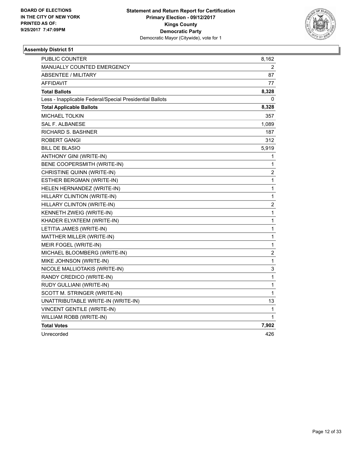

| PUBLIC COUNTER                                           | 8,162                   |
|----------------------------------------------------------|-------------------------|
| <b>MANUALLY COUNTED EMERGENCY</b>                        | 2                       |
| ABSENTEE / MILITARY                                      | 87                      |
| <b>AFFIDAVIT</b>                                         | 77                      |
| <b>Total Ballots</b>                                     | 8,328                   |
| Less - Inapplicable Federal/Special Presidential Ballots | 0                       |
| <b>Total Applicable Ballots</b>                          | 8,328                   |
| <b>MICHAEL TOLKIN</b>                                    | 357                     |
| <b>SAL F. ALBANESE</b>                                   | 1,089                   |
| <b>RICHARD S. BASHNER</b>                                | 187                     |
| ROBERT GANGI                                             | 312                     |
| <b>BILL DE BLASIO</b>                                    | 5,919                   |
| ANTHONY GINI (WRITE-IN)                                  | 1                       |
| BENE COOPERSMITH (WRITE-IN)                              | 1                       |
| CHRISTINE QUINN (WRITE-IN)                               | 2                       |
| ESTHER BERGMAN (WRITE-IN)                                | 1                       |
| HELEN HERNANDEZ (WRITE-IN)                               | 1                       |
| HILLARY CLINTION (WRITE-IN)                              | 1                       |
| HILLARY CLINTON (WRITE-IN)                               | 2                       |
| KENNETH ZWEIG (WRITE-IN)                                 | 1                       |
| KHADER ELYATEEM (WRITE-IN)                               | 1                       |
| LETITIA JAMES (WRITE-IN)                                 | $\mathbf{1}$            |
| MATTHER MILLER (WRITE-IN)                                | 1                       |
| MEIR FOGEL (WRITE-IN)                                    | 1                       |
| MICHAEL BLOOMBERG (WRITE-IN)                             | $\overline{\mathbf{c}}$ |
| MIKE JOHNSON (WRITE-IN)                                  | 1                       |
| NICOLE MALLIOTAKIS (WRITE-IN)                            | 3                       |
| RANDY CREDICO (WRITE-IN)                                 | 1                       |
| RUDY GULLIANI (WRITE-IN)                                 | 1                       |
| SCOTT M. STRINGER (WRITE-IN)                             | 1                       |
| UNATTRIBUTABLE WRITE-IN (WRITE-IN)                       | 13                      |
| VINCENT GENTILE (WRITE-IN)                               | 1                       |
| WILLIAM ROBB (WRITE-IN)                                  | 1                       |
| <b>Total Votes</b>                                       | 7,902                   |
| Unrecorded                                               | 426                     |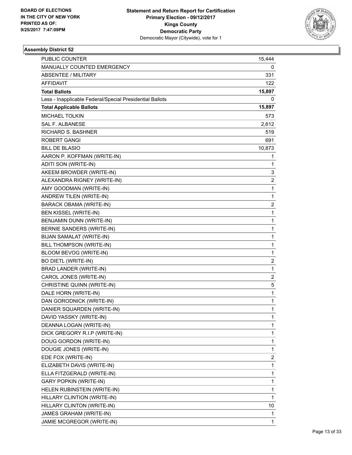

| PUBLIC COUNTER                                           | 15,444                  |
|----------------------------------------------------------|-------------------------|
| MANUALLY COUNTED EMERGENCY                               | 0                       |
| <b>ABSENTEE / MILITARY</b>                               | 331                     |
| <b>AFFIDAVIT</b>                                         | 122                     |
| <b>Total Ballots</b>                                     | 15,897                  |
| Less - Inapplicable Federal/Special Presidential Ballots | 0                       |
| <b>Total Applicable Ballots</b>                          | 15,897                  |
| <b>MICHAEL TOLKIN</b>                                    | 573                     |
| SAL F. ALBANESE                                          | 2,612                   |
| <b>RICHARD S. BASHNER</b>                                | 519                     |
| <b>ROBERT GANGI</b>                                      | 691                     |
| <b>BILL DE BLASIO</b>                                    | 10,873                  |
| AARON P. KOFFMAN (WRITE-IN)                              | 1                       |
| ADITI SON (WRITE-IN)                                     | 1                       |
| AKEEM BROWDER (WRITE-IN)                                 | 3                       |
| ALEXANDRA RIGNEY (WRITE-IN)                              | 2                       |
| AMY GOODMAN (WRITE-IN)                                   | 1                       |
| ANDREW TILEN (WRITE-IN)                                  | $\mathbf{1}$            |
| <b>BARACK OBAMA (WRITE-IN)</b>                           | $\overline{\mathbf{c}}$ |
| <b>BEN KISSEL (WRITE-IN)</b>                             | 1                       |
| BENJAMIN DUNN (WRITE-IN)                                 | 1                       |
| BERNIE SANDERS (WRITE-IN)                                | 1                       |
| BIJAN SAMALAT (WRITE-IN)                                 | 1                       |
| BILL THOMPSON (WRITE-IN)                                 | $\mathbf{1}$            |
| BLOOM BEVOG (WRITE-IN)                                   | 1                       |
| <b>BO DIETL (WRITE-IN)</b>                               | 2                       |
| <b>BRAD LANDER (WRITE-IN)</b>                            | $\mathbf{1}$            |
| CAROL JONES (WRITE-IN)                                   | 2                       |
| CHRISTINE QUINN (WRITE-IN)                               | 5                       |
| DALE HORN (WRITE-IN)                                     | $\mathbf{1}$            |
| DAN GORODNICK (WRITE-IN)                                 | 1                       |
| DANIER SQUARDEN (WRITE-IN)                               | 1                       |
| DAVID YASSKY (WRITE-IN)                                  | 1                       |
| DEANNA LOGAN (WRITE-IN)                                  | 1                       |
| DICK GREGORY R.I.P (WRITE-IN)                            | 1                       |
| DOUG GORDON (WRITE-IN)                                   | 1                       |
| DOUGIE JONES (WRITE-IN)                                  | 1                       |
| EDE FOX (WRITE-IN)                                       | 2                       |
| ELIZABETH DAVIS (WRITE-IN)                               | 1                       |
| ELLA FITZGERALD (WRITE-IN)                               | 1                       |
| <b>GARY POPKIN (WRITE-IN)</b>                            | 1                       |
| HELEN RUBINSTEIN (WRITE-IN)                              | 1                       |
| HILLARY CLINTION (WRITE-IN)                              | $\mathbf{1}$            |
| HILLARY CLINTON (WRITE-IN)                               | 10                      |
| JAMES GRAHAM (WRITE-IN)                                  | 1                       |
| JAMIE MCGREGOR (WRITE-IN)                                | 1                       |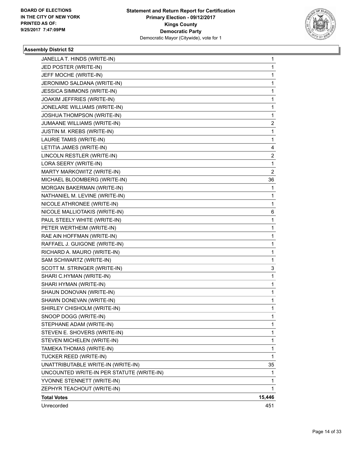

| JANELLA T. HINDS (WRITE-IN)               | 1      |
|-------------------------------------------|--------|
| JED POSTER (WRITE-IN)                     | 1      |
| JEFF MOCHE (WRITE-IN)                     | 1      |
| JERONIMO SALDANA (WRITE-IN)               | 1      |
| JESSICA SIMMONS (WRITE-IN)                | 1      |
| JOAKIM JEFFRIES (WRITE-IN)                | 1      |
| JONELARE WILLIAMS (WRITE-IN)              | 1      |
| JOSHUA THOMPSON (WRITE-IN)                | 1      |
| JUMAANE WILLIAMS (WRITE-IN)               | 2      |
| JUSTIN M. KREBS (WRITE-IN)                | 1      |
| LAURIE TAMIS (WRITE-IN)                   | 1      |
| LETITIA JAMES (WRITE-IN)                  | 4      |
| LINCOLN RESTLER (WRITE-IN)                | 2      |
| LORA SEERY (WRITE-IN)                     | 1      |
| MARTY MARKOWITZ (WRITE-IN)                | 2      |
| MICHAEL BLOOMBERG (WRITE-IN)              | 36     |
| MORGAN BAKERMAN (WRITE-IN)                | 1      |
| NATHANIEL M. LEVINE (WRITE-IN)            | 1      |
| NICOLE ATHRONEE (WRITE-IN)                | 1      |
| NICOLE MALLIOTAKIS (WRITE-IN)             | 6      |
| PAUL STEELY WHITE (WRITE-IN)              | 1      |
| PETER WERTHEIM (WRITE-IN)                 | 1      |
| RAE AIN HOFFMAN (WRITE-IN)                | 1      |
| RAFFAEL J. GUIGONE (WRITE-IN)             | 1      |
| RICHARD A. MAURO (WRITE-IN)               | 1      |
| SAM SCHWARTZ (WRITE-IN)                   | 1      |
| SCOTT M. STRINGER (WRITE-IN)              | 3      |
| SHARI C.HYMAN (WRITE-IN)                  | 1      |
| SHARI HYMAN (WRITE-IN)                    | 1      |
| SHAUN DONOVAN (WRITE-IN)                  | 1      |
| SHAWN DONEVAN (WRITE-IN)                  | 1      |
| SHIRLEY CHISHOLM (WRITE-IN)               | 1      |
| SNOOP DOGG (WRITE-IN)                     | 1      |
| STEPHANE ADAM (WRITE-IN)                  | 1      |
| STEVEN E. SHOVERS (WRITE-IN)              | 1      |
| STEVEN MICHELEN (WRITE-IN)                | 1      |
| TAMEKA THOMAS (WRITE-IN)                  | 1      |
| TUCKER REED (WRITE-IN)                    | 1      |
| UNATTRIBUTABLE WRITE-IN (WRITE-IN)        | 35     |
| UNCOUNTED WRITE-IN PER STATUTE (WRITE-IN) | 1      |
| YVONNE STENNETT (WRITE-IN)                | 1      |
| ZEPHYR TEACHOUT (WRITE-IN)                | 1      |
| <b>Total Votes</b>                        | 15,446 |
| Unrecorded                                | 451    |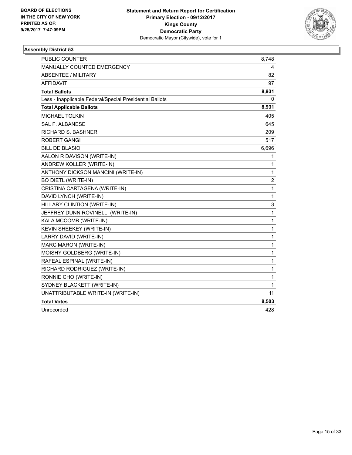

| <b>PUBLIC COUNTER</b>                                    | 8,748          |
|----------------------------------------------------------|----------------|
| MANUALLY COUNTED EMERGENCY                               | 4              |
| <b>ABSENTEE / MILITARY</b>                               | 82             |
| AFFIDAVIT                                                | 97             |
| <b>Total Ballots</b>                                     | 8,931          |
| Less - Inapplicable Federal/Special Presidential Ballots | 0              |
| <b>Total Applicable Ballots</b>                          | 8,931          |
| <b>MICHAEL TOLKIN</b>                                    | 405            |
| <b>SAL F. ALBANESE</b>                                   | 645            |
| <b>RICHARD S. BASHNER</b>                                | 209            |
| ROBERT GANGI                                             | 517            |
| <b>BILL DE BLASIO</b>                                    | 6,696          |
| AALON R DAVISON (WRITE-IN)                               | 1              |
| ANDREW KOLLER (WRITE-IN)                                 | 1              |
| ANTHONY DICKSON MANCINI (WRITE-IN)                       | 1              |
| <b>BO DIETL (WRITE-IN)</b>                               | $\overline{2}$ |
| CRISTINA CARTAGENA (WRITE-IN)                            | $\mathbf{1}$   |
| DAVID LYNCH (WRITE-IN)                                   | 1              |
| HILLARY CLINTION (WRITE-IN)                              | 3              |
| JEFFREY DUNN ROVINELLI (WRITE-IN)                        | $\mathbf 1$    |
| KALA MCCOMB (WRITE-IN)                                   | 1              |
| KEVIN SHEEKEY (WRITE-IN)                                 | 1              |
| LARRY DAVID (WRITE-IN)                                   | $\mathbf 1$    |
| MARC MARON (WRITE-IN)                                    | 1              |
| MOISHY GOLDBERG (WRITE-IN)                               | 1              |
| RAFEAL ESPINAL (WRITE-IN)                                | $\mathbf 1$    |
| RICHARD RODRIGUEZ (WRITE-IN)                             | 1              |
| RONNIE CHO (WRITE-IN)                                    | 1              |
| SYDNEY BLACKETT (WRITE-IN)                               | 1              |
| UNATTRIBUTABLE WRITE-IN (WRITE-IN)                       | 11             |
| <b>Total Votes</b>                                       | 8,503          |
| Unrecorded                                               | 428            |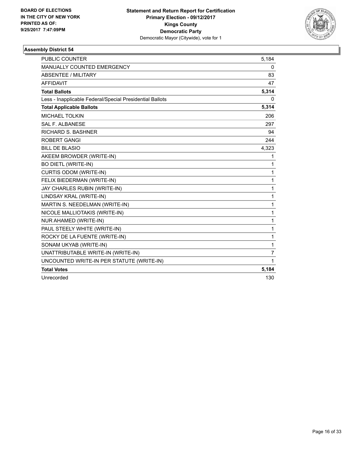

| <b>PUBLIC COUNTER</b>                                    | 5,184 |
|----------------------------------------------------------|-------|
| <b>MANUALLY COUNTED EMERGENCY</b>                        | 0     |
| <b>ABSENTEE / MILITARY</b>                               | 83    |
| <b>AFFIDAVIT</b>                                         | 47    |
| <b>Total Ballots</b>                                     | 5,314 |
| Less - Inapplicable Federal/Special Presidential Ballots | 0     |
| <b>Total Applicable Ballots</b>                          | 5,314 |
| <b>MICHAEL TOLKIN</b>                                    | 206   |
| <b>SAL F. ALBANESE</b>                                   | 297   |
| <b>RICHARD S. BASHNER</b>                                | 94    |
| ROBERT GANGI                                             | 244   |
| <b>BILL DE BLASIO</b>                                    | 4,323 |
| AKEEM BROWDER (WRITE-IN)                                 | 1     |
| <b>BO DIETL (WRITE-IN)</b>                               | 1     |
| <b>CURTIS ODOM (WRITE-IN)</b>                            | 1     |
| FELIX BIEDERMAN (WRITE-IN)                               | 1     |
| JAY CHARLES RUBIN (WRITE-IN)                             | 1     |
| LINDSAY KRAL (WRITE-IN)                                  | 1     |
| MARTIN S. NEEDELMAN (WRITE-IN)                           | 1     |
| NICOLE MALLIOTAKIS (WRITE-IN)                            | 1     |
| NUR AHAMED (WRITE-IN)                                    | 1     |
| PAUL STEELY WHITE (WRITE-IN)                             | 1     |
| ROCKY DE LA FUENTE (WRITE-IN)                            | 1     |
| SONAM UKYAB (WRITE-IN)                                   | 1     |
| UNATTRIBUTABLE WRITE-IN (WRITE-IN)                       | 7     |
| UNCOUNTED WRITE-IN PER STATUTE (WRITE-IN)                | 1     |
| <b>Total Votes</b>                                       | 5,184 |
| Unrecorded                                               | 130   |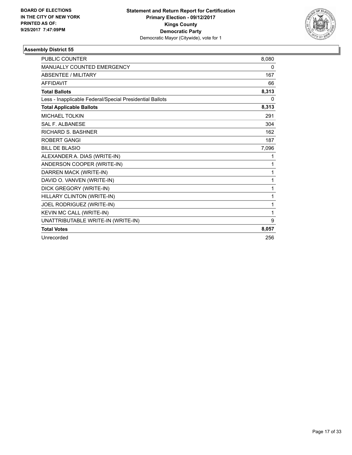

| <b>PUBLIC COUNTER</b>                                    | 8.080 |
|----------------------------------------------------------|-------|
| <b>MANUALLY COUNTED EMERGENCY</b>                        | 0     |
| <b>ABSENTEE / MILITARY</b>                               | 167   |
| <b>AFFIDAVIT</b>                                         | 66    |
| <b>Total Ballots</b>                                     | 8,313 |
| Less - Inapplicable Federal/Special Presidential Ballots | 0     |
| <b>Total Applicable Ballots</b>                          | 8,313 |
| <b>MICHAEL TOLKIN</b>                                    | 291   |
| <b>SAL F. ALBANESE</b>                                   | 304   |
| <b>RICHARD S. BASHNER</b>                                | 162   |
| <b>ROBERT GANGI</b>                                      | 187   |
| <b>BILL DE BLASIO</b>                                    | 7,096 |
| ALEXANDER A. DIAS (WRITE-IN)                             | 1     |
| ANDERSON COOPER (WRITE-IN)                               | 1     |
| DARREN MACK (WRITE-IN)                                   | 1     |
| DAVID O. VANVEN (WRITE-IN)                               | 1     |
| DICK GREGORY (WRITE-IN)                                  | 1     |
| HILLARY CLINTON (WRITE-IN)                               | 1     |
| JOEL RODRIGUEZ (WRITE-IN)                                | 1     |
| KEVIN MC CALL (WRITE-IN)                                 | 1     |
| UNATTRIBUTABLE WRITE-IN (WRITE-IN)                       | 9     |
| <b>Total Votes</b>                                       | 8,057 |
| Unrecorded                                               | 256   |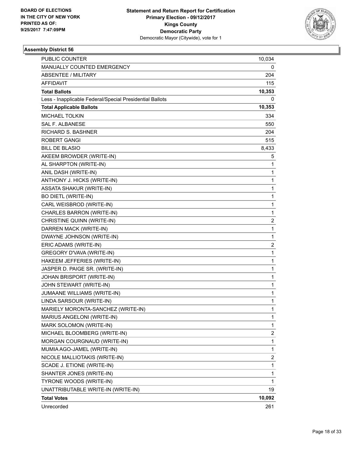

| PUBLIC COUNTER                                           | 10,034                  |
|----------------------------------------------------------|-------------------------|
| MANUALLY COUNTED EMERGENCY                               | 0                       |
| <b>ABSENTEE / MILITARY</b>                               | 204                     |
| AFFIDAVIT                                                | 115                     |
| <b>Total Ballots</b>                                     | 10,353                  |
| Less - Inapplicable Federal/Special Presidential Ballots | 0                       |
| <b>Total Applicable Ballots</b>                          | 10,353                  |
| <b>MICHAEL TOLKIN</b>                                    | 334                     |
| SAL F. ALBANESE                                          | 550                     |
| RICHARD S. BASHNER                                       | 204                     |
| <b>ROBERT GANGI</b>                                      | 515                     |
| <b>BILL DE BLASIO</b>                                    | 8,433                   |
| AKEEM BROWDER (WRITE-IN)                                 | 5                       |
| AL SHARPTON (WRITE-IN)                                   | $\mathbf{1}$            |
| ANIL DASH (WRITE-IN)                                     | 1                       |
| ANTHONY J. HICKS (WRITE-IN)                              | $\mathbf 1$             |
| <b>ASSATA SHAKUR (WRITE-IN)</b>                          | $\mathbf{1}$            |
| <b>BO DIETL (WRITE-IN)</b>                               | 1                       |
| CARL WEISBROD (WRITE-IN)                                 | 1                       |
| CHARLES BARRON (WRITE-IN)                                | $\mathbf{1}$            |
| CHRISTINE QUINN (WRITE-IN)                               | $\overline{\mathbf{c}}$ |
| DARREN MACK (WRITE-IN)                                   | $\mathbf 1$             |
| DWAYNE JOHNSON (WRITE-IN)                                | 1                       |
| ERIC ADAMS (WRITE-IN)                                    | 2                       |
| GREGORY D'VAVA (WRITE-IN)                                | 1                       |
| HAKEEM JEFFERIES (WRITE-IN)                              | $\mathbf{1}$            |
| JASPER D. PAIGE SR. (WRITE-IN)                           | 1                       |
| JOHAN BRISPORT (WRITE-IN)                                | $\mathbf 1$             |
| JOHN STEWART (WRITE-IN)                                  | 1                       |
| JUMAANE WILLIAMS (WRITE-IN)                              | 1                       |
| LINDA SARSOUR (WRITE-IN)                                 | 1                       |
| MARIELY MORONTA-SANCHEZ (WRITE-IN)                       | $\mathbf{1}$            |
| MARIUS ANGELONI (WRITE-IN)                               | 1                       |
| MARK SOLOMON (WRITE-IN)                                  | 1                       |
| MICHAEL BLOOMBERG (WRITE-IN)                             | 2                       |
| MORGAN COURGNAUD (WRITE-IN)                              | 1                       |
| MUMIA AGO-JAMEL (WRITE-IN)                               | 1                       |
| NICOLE MALLIOTAKIS (WRITE-IN)                            | 2                       |
| SCADE J. ETIONE (WRITE-IN)                               | 1                       |
| SHANTER JONES (WRITE-IN)                                 | 1                       |
| TYRONE WOODS (WRITE-IN)                                  | 1                       |
| UNATTRIBUTABLE WRITE-IN (WRITE-IN)                       | 19                      |
| <b>Total Votes</b>                                       | 10,092                  |
| Unrecorded                                               | 261                     |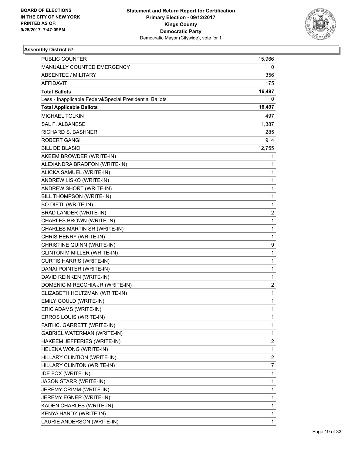

| PUBLIC COUNTER                                           | 15,966       |
|----------------------------------------------------------|--------------|
| MANUALLY COUNTED EMERGENCY                               | 0            |
| <b>ABSENTEE / MILITARY</b>                               | 356          |
| <b>AFFIDAVIT</b>                                         | 175          |
| <b>Total Ballots</b>                                     | 16,497       |
| Less - Inapplicable Federal/Special Presidential Ballots | 0            |
| <b>Total Applicable Ballots</b>                          | 16,497       |
| <b>MICHAEL TOLKIN</b>                                    | 497          |
| <b>SAL F. ALBANESE</b>                                   | 1,387        |
| <b>RICHARD S. BASHNER</b>                                | 285          |
| <b>ROBERT GANGI</b>                                      | 914          |
| <b>BILL DE BLASIO</b>                                    | 12,755       |
| AKEEM BROWDER (WRITE-IN)                                 | 1            |
| ALEXANDRA BRADFON (WRITE-IN)                             | 1            |
| ALICKA SAMUEL (WRITE-IN)                                 | $\mathbf{1}$ |
| ANDREW LISKO (WRITE-IN)                                  | 1            |
| ANDREW SHORT (WRITE-IN)                                  | 1            |
| BILL THOMPSON (WRITE-IN)                                 | $\mathbf{1}$ |
| <b>BO DIETL (WRITE-IN)</b>                               | 1            |
| BRAD LANDER (WRITE-IN)                                   | 2            |
| CHARLES BROWN (WRITE-IN)                                 | $\mathbf{1}$ |
| CHARLES MARTIN SR (WRITE-IN)                             | 1            |
| CHRIS HENRY (WRITE-IN)                                   | 1            |
| CHRISTINE QUINN (WRITE-IN)                               | 9            |
| CLINTON M MILLER (WRITE-IN)                              | 1            |
| <b>CURTIS HARRIS (WRITE-IN)</b>                          | 1            |
| DANAI POINTER (WRITE-IN)                                 | $\mathbf{1}$ |
| DAVID REINKEN (WRITE-IN)                                 | 1            |
| DOMENIC M RECCHIA JR (WRITE-IN)                          | 2            |
| ELIZABETH HOLTZMAN (WRITE-IN)                            | $\mathbf{1}$ |
| EMILY GOULD (WRITE-IN)                                   | 1            |
| ERIC ADAMS (WRITE-IN)                                    | 1            |
| ERROS LOUIS (WRITE-IN)                                   | 1            |
| FAITHC. GARRETT (WRITE-IN)                               | 1            |
| <b>GABRIEL WATERMAN (WRITE-IN)</b>                       | 1            |
| HAKEEM JEFFERIES (WRITE-IN)                              | 2            |
| HELENA WONG (WRITE-IN)                                   | 1            |
| HILLARY CLINTION (WRITE-IN)                              | 2            |
| HILLARY CLINTON (WRITE-IN)                               | 7            |
| IDE FOX (WRITE-IN)                                       | 1            |
| JASON STARR (WRITE-IN)                                   | 1            |
| JEREMY CRIMM (WRITE-IN)                                  | 1            |
| JEREMY EGNER (WRITE-IN)                                  | 1            |
| KADEN CHARLES (WRITE-IN)                                 | 1            |
| KENYA HANDY (WRITE-IN)                                   | 1            |
| LAURIE ANDERSON (WRITE-IN)                               | 1            |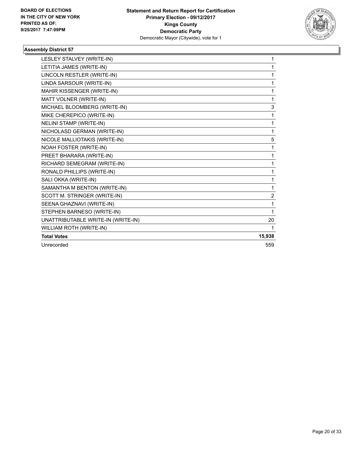

| LESLEY STALVEY (WRITE-IN)          | 1            |
|------------------------------------|--------------|
| LETITIA JAMES (WRITE-IN)           | 1            |
| LINCOLN RESTLER (WRITE-IN)         | 1            |
| LINDA SARSOUR (WRITE-IN)           | 1            |
| MAHIR KISSENGER (WRITE-IN)         | 1            |
| MATT VOLNER (WRITE-IN)             | $\mathbf{1}$ |
| MICHAEL BLOOMBERG (WRITE-IN)       | 3            |
| MIKE CHEREPICO (WRITE-IN)          | 1            |
| <b>NELINI STAMP (WRITE-IN)</b>     | 1            |
| NICHOLASD GERMAN (WRITE-IN)        | 1            |
| NICOLE MALLIOTAKIS (WRITE-IN)      | 5            |
| NOAH FOSTER (WRITE-IN)             | 1            |
| PREET BHARARA (WRITE-IN)           | 1            |
| RICHARD SEMEGRAM (WRITE-IN)        | 1            |
| RONALD PHILLIPS (WRITE-IN)         | 1            |
| SALI OKKA (WRITE-IN)               | 1            |
| SAMANTHA M BENTON (WRITE-IN)       | 1            |
| SCOTT M. STRINGER (WRITE-IN)       | 2            |
| SEENA GHAZNAVI (WRITE-IN)          | 1            |
| STEPHEN BARNESO (WRITE-IN)         | $\mathbf{1}$ |
| UNATTRIBUTABLE WRITE-IN (WRITE-IN) | 20           |
| WILLIAM ROTH (WRITE-IN)            | 1            |
| <b>Total Votes</b>                 | 15,938       |
| Unrecorded                         | 559          |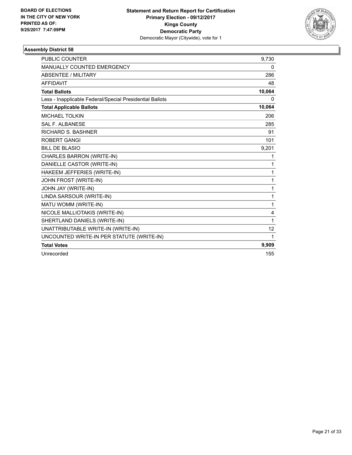

| <b>PUBLIC COUNTER</b>                                    | 9,730  |
|----------------------------------------------------------|--------|
| MANUALLY COUNTED EMERGENCY                               | 0      |
| <b>ABSENTEE / MILITARY</b>                               | 286    |
| <b>AFFIDAVIT</b>                                         | 48     |
| <b>Total Ballots</b>                                     | 10,064 |
| Less - Inapplicable Federal/Special Presidential Ballots | 0      |
| <b>Total Applicable Ballots</b>                          | 10,064 |
| <b>MICHAEL TOLKIN</b>                                    | 206    |
| <b>SAL F. ALBANESE</b>                                   | 285    |
| <b>RICHARD S. BASHNER</b>                                | 91     |
| <b>ROBERT GANGI</b>                                      | 101    |
| <b>BILL DE BLASIO</b>                                    | 9,201  |
| CHARLES BARRON (WRITE-IN)                                | 1      |
| DANIELLE CASTOR (WRITE-IN)                               | 1      |
| HAKEEM JEFFERIES (WRITE-IN)                              | 1      |
| JOHN FROST (WRITE-IN)                                    | 1      |
| JOHN JAY (WRITE-IN)                                      | 1      |
| LINDA SARSOUR (WRITE-IN)                                 | 1      |
| MATU WOMM (WRITE-IN)                                     | 1      |
| NICOLE MALLIOTAKIS (WRITE-IN)                            | 4      |
| SHERTLAND DANIELS (WRITE-IN)                             | 1      |
| UNATTRIBUTABLE WRITE-IN (WRITE-IN)                       | 12     |
| UNCOUNTED WRITE-IN PER STATUTE (WRITE-IN)                | 1      |
| <b>Total Votes</b>                                       | 9,909  |
| Unrecorded                                               | 155    |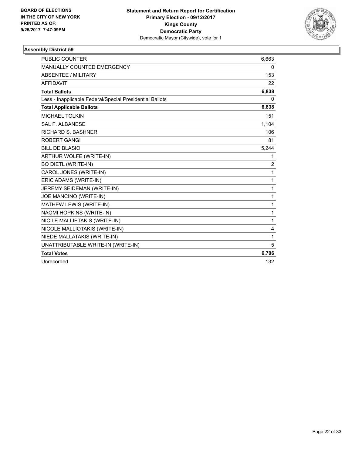

| <b>PUBLIC COUNTER</b>                                    | 6,663          |
|----------------------------------------------------------|----------------|
| MANUALLY COUNTED EMERGENCY                               | 0              |
| <b>ABSENTEE / MILITARY</b>                               | 153            |
| <b>AFFIDAVIT</b>                                         | 22             |
| <b>Total Ballots</b>                                     | 6,838          |
| Less - Inapplicable Federal/Special Presidential Ballots | 0              |
| <b>Total Applicable Ballots</b>                          | 6,838          |
| <b>MICHAEL TOLKIN</b>                                    | 151            |
| <b>SAL F. ALBANESE</b>                                   | 1,104          |
| <b>RICHARD S. BASHNER</b>                                | 106            |
| <b>ROBERT GANGI</b>                                      | 81             |
| <b>BILL DE BLASIO</b>                                    | 5,244          |
| ARTHUR WOLFE (WRITE-IN)                                  | 1              |
| <b>BO DIETL (WRITE-IN)</b>                               | $\overline{2}$ |
| CAROL JONES (WRITE-IN)                                   | 1              |
| ERIC ADAMS (WRITE-IN)                                    | 1              |
| JEREMY SEIDEMAN (WRITE-IN)                               | 1              |
| JOE MANCINO (WRITE-IN)                                   | 1              |
| MATHEW LEWIS (WRITE-IN)                                  | $\mathbf{1}$   |
| NAOMI HOPKINS (WRITE-IN)                                 | 1              |
| NICILE MALLIETAKIS (WRITE-IN)                            | 1              |
| NICOLE MALLIOTAKIS (WRITE-IN)                            | 4              |
| NIEDE MALLATAKIS (WRITE-IN)                              | 1              |
| UNATTRIBUTABLE WRITE-IN (WRITE-IN)                       | 5              |
| <b>Total Votes</b>                                       | 6,706          |
| Unrecorded                                               | 132            |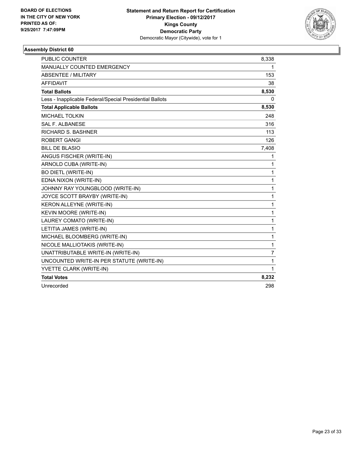

| <b>PUBLIC COUNTER</b>                                    | 8,338 |
|----------------------------------------------------------|-------|
| MANUALLY COUNTED EMERGENCY                               | 1.    |
| <b>ABSENTEE / MILITARY</b>                               | 153   |
| <b>AFFIDAVIT</b>                                         | 38    |
| <b>Total Ballots</b>                                     | 8,530 |
| Less - Inapplicable Federal/Special Presidential Ballots | 0     |
| <b>Total Applicable Ballots</b>                          | 8,530 |
| <b>MICHAEL TOLKIN</b>                                    | 248   |
| SAL F. ALBANESE                                          | 316   |
| <b>RICHARD S. BASHNER</b>                                | 113   |
| <b>ROBERT GANGI</b>                                      | 126   |
| <b>BILL DE BLASIO</b>                                    | 7,408 |
| ANGUS FISCHER (WRITE-IN)                                 | 1     |
| ARNOLD CUBA (WRITE-IN)                                   | 1     |
| <b>BO DIETL (WRITE-IN)</b>                               | 1     |
| EDNA NIXON (WRITE-IN)                                    | 1     |
| JOHNNY RAY YOUNGBLOOD (WRITE-IN)                         | 1     |
| JOYCE SCOTT BRAYBY (WRITE-IN)                            | 1     |
| KERON ALLEYNE (WRITE-IN)                                 | 1     |
| KEVIN MOORE (WRITE-IN)                                   | 1     |
| LAUREY COMATO (WRITE-IN)                                 | 1     |
| LETITIA JAMES (WRITE-IN)                                 | 1     |
| MICHAEL BLOOMBERG (WRITE-IN)                             | 1     |
| NICOLE MALLIOTAKIS (WRITE-IN)                            | 1     |
| UNATTRIBUTABLE WRITE-IN (WRITE-IN)                       | 7     |
| UNCOUNTED WRITE-IN PER STATUTE (WRITE-IN)                | 1     |
| YVETTE CLARK (WRITE-IN)                                  | 1     |
| <b>Total Votes</b>                                       | 8,232 |
| Unrecorded                                               | 298   |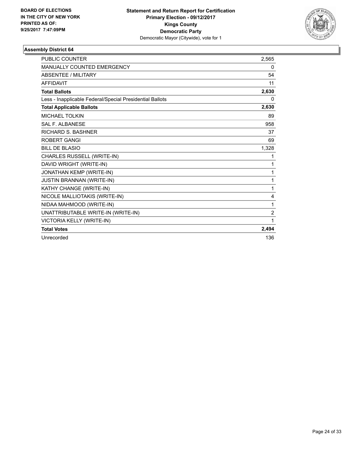

| <b>PUBLIC COUNTER</b>                                    | 2.565          |
|----------------------------------------------------------|----------------|
| <b>MANUALLY COUNTED EMERGENCY</b>                        | 0              |
| <b>ABSENTEE / MILITARY</b>                               | 54             |
| <b>AFFIDAVIT</b>                                         | 11             |
| <b>Total Ballots</b>                                     | 2,630          |
| Less - Inapplicable Federal/Special Presidential Ballots | 0              |
| <b>Total Applicable Ballots</b>                          | 2,630          |
| MICHAEL TOLKIN                                           | 89             |
| <b>SAL F. ALBANESE</b>                                   | 958            |
| <b>RICHARD S. BASHNER</b>                                | 37             |
| <b>ROBERT GANGI</b>                                      | 69             |
| <b>BILL DE BLASIO</b>                                    | 1,328          |
| CHARLES RUSSELL (WRITE-IN)                               | 1              |
| DAVID WRIGHT (WRITE-IN)                                  | 1              |
| JONATHAN KEMP (WRITE-IN)                                 | 1              |
| <b>JUSTIN BRANNAN (WRITE-IN)</b>                         | 1              |
| KATHY CHANGE (WRITE-IN)                                  | 1              |
| NICOLE MALLIOTAKIS (WRITE-IN)                            | 4              |
| NIDAA MAHMOOD (WRITE-IN)                                 | 1              |
| UNATTRIBUTABLE WRITE-IN (WRITE-IN)                       | $\overline{2}$ |
| VICTORIA KELLY (WRITE-IN)                                | 1              |
| <b>Total Votes</b>                                       | 2,494          |
| Unrecorded                                               | 136            |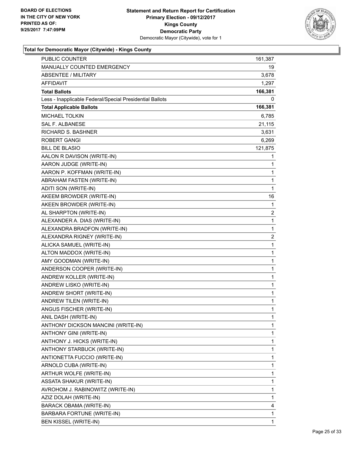

| <b>PUBLIC COUNTER</b>                                    | 161,387      |
|----------------------------------------------------------|--------------|
| MANUALLY COUNTED EMERGENCY                               | 19           |
| ABSENTEE / MILITARY                                      | 3,678        |
| <b>AFFIDAVIT</b>                                         | 1,297        |
| <b>Total Ballots</b>                                     | 166,381      |
| Less - Inapplicable Federal/Special Presidential Ballots | 0            |
| <b>Total Applicable Ballots</b>                          | 166,381      |
| <b>MICHAEL TOLKIN</b>                                    | 6,785        |
| <b>SAL F. ALBANESE</b>                                   | 21,115       |
| RICHARD S. BASHNER                                       | 3,631        |
| <b>ROBERT GANGI</b>                                      | 6,269        |
| <b>BILL DE BLASIO</b>                                    | 121,875      |
| AALON R DAVISON (WRITE-IN)                               | 1            |
| AARON JUDGE (WRITE-IN)                                   | 1            |
| AARON P. KOFFMAN (WRITE-IN)                              | 1            |
| ABRAHAM FASTEN (WRITE-IN)                                | 1            |
| ADITI SON (WRITE-IN)                                     | $\mathbf{1}$ |
| AKEEM BROWDER (WRITE-IN)                                 | 16           |
| AKEEN BROWDER (WRITE-IN)                                 | 1            |
| AL SHARPTON (WRITE-IN)                                   | 2            |
| ALEXANDER A. DIAS (WRITE-IN)                             | 1            |
| ALEXANDRA BRADFON (WRITE-IN)                             | 1            |
| ALEXANDRA RIGNEY (WRITE-IN)                              | 2            |
| ALICKA SAMUEL (WRITE-IN)                                 | 1            |
| ALTON MADDOX (WRITE-IN)                                  | 1            |
| AMY GOODMAN (WRITE-IN)                                   | 1            |
| ANDERSON COOPER (WRITE-IN)                               | 1            |
| ANDREW KOLLER (WRITE-IN)                                 | 1            |
| ANDREW LISKO (WRITE-IN)                                  | 1            |
| ANDREW SHORT (WRITE-IN)                                  | 1            |
| ANDREW TILEN (WRITE-IN)                                  | 1            |
| ANGUS FISCHER (WRITE-IN)                                 | 1            |
| ANIL DASH (WRITE-IN)                                     | 1            |
| ANTHONY DICKSON MANCINI (WRITE-IN)                       | 1            |
| ANTHONY GINI (WRITE-IN)                                  | 1            |
| ANTHONY J. HICKS (WRITE-IN)                              | 1            |
| ANTHONY STARBUCK (WRITE-IN)                              | 1            |
| ANTIONETTA FUCCIO (WRITE-IN)                             | 1            |
| ARNOLD CUBA (WRITE-IN)                                   | 1            |
| ARTHUR WOLFE (WRITE-IN)                                  | 1            |
| ASSATA SHAKUR (WRITE-IN)                                 | 1            |
| AVROHOM J. RABINOWITZ (WRITE-IN)                         | 1            |
| AZIZ DOLAH (WRITE-IN)                                    | 1            |
| BARACK OBAMA (WRITE-IN)                                  | 4            |
| BARBARA FORTUNE (WRITE-IN)                               | 1            |
| <b>BEN KISSEL (WRITE-IN)</b>                             | 1            |
|                                                          |              |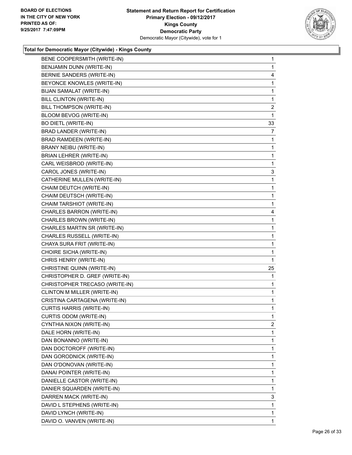

| BENE COOPERSMITH (WRITE-IN)     | $\mathbf{1}$   |
|---------------------------------|----------------|
| BENJAMIN DUNN (WRITE-IN)        | $\mathbf{1}$   |
| BERNIE SANDERS (WRITE-IN)       | 4              |
| BEYONCE KNOWLES (WRITE-IN)      | 1              |
| <b>BIJAN SAMALAT (WRITE-IN)</b> | 1              |
| BILL CLINTON (WRITE-IN)         | 1              |
| BILL THOMPSON (WRITE-IN)        | 2              |
| BLOOM BEVOG (WRITE-IN)          | 1              |
| <b>BO DIETL (WRITE-IN)</b>      | 33             |
| BRAD LANDER (WRITE-IN)          | $\overline{7}$ |
| BRAD RAMDEEN (WRITE-IN)         | 1              |
| BRANY NEIBU (WRITE-IN)          | 1              |
| BRIAN LEHRER (WRITE-IN)         | 1              |
| CARL WEISBROD (WRITE-IN)        | 1              |
| CAROL JONES (WRITE-IN)          | 3              |
| CATHERINE MULLEN (WRITE-IN)     | 1              |
| CHAIM DEUTCH (WRITE-IN)         | 1.             |
| CHAIM DEUTSCH (WRITE-IN)        | 1              |
| CHAIM TARSHIOT (WRITE-IN)       | 1              |
| CHARLES BARRON (WRITE-IN)       | 4              |
| CHARLES BROWN (WRITE-IN)        | $\mathbf{1}$   |
| CHARLES MARTIN SR (WRITE-IN)    | 1              |
| CHARLES RUSSELL (WRITE-IN)      | 1.             |
| CHAYA SURA FRIT (WRITE-IN)      | 1              |
| CHOIRE SICHA (WRITE-IN)         | 1              |
| CHRIS HENRY (WRITE-IN)          | 1              |
| CHRISTINE QUINN (WRITE-IN)      | 25             |
| CHRISTOPHER D. GREF (WRITE-IN)  | $\mathbf{1}$   |
| CHRISTOPHER TRECASO (WRITE-IN)  | 1              |
| CLINTON M MILLER (WRITE-IN)     | $\mathbf{1}$   |
| CRISTINA CARTAGENA (WRITE-IN)   | 1              |
| <b>CURTIS HARRIS (WRITE-IN)</b> | 1              |
| CURTIS ODOM (WRITE-IN)          | 1              |
| CYNTHIA NIXON (WRITE-IN)        | 2              |
| DALE HORN (WRITE-IN)            | 1              |
| DAN BONANNO (WRITE-IN)          | 1              |
| DAN DOCTOROFF (WRITE-IN)        | 1              |
| DAN GORODNICK (WRITE-IN)        | 1              |
| DAN O'DONOVAN (WRITE-IN)        | 1              |
| DANAI POINTER (WRITE-IN)        | 1              |
| DANIELLE CASTOR (WRITE-IN)      | 1              |
| DANIER SQUARDEN (WRITE-IN)      | 1              |
| DARREN MACK (WRITE-IN)          | 3              |
| DAVID L STEPHENS (WRITE-IN)     | 1              |
| DAVID LYNCH (WRITE-IN)          | 1              |
| DAVID O. VANVEN (WRITE-IN)      | 1              |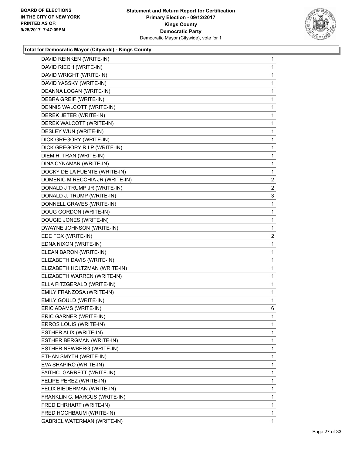

| DAVID REINKEN (WRITE-IN)        | 1              |
|---------------------------------|----------------|
| DAVID RIECH (WRITE-IN)          | 1              |
| DAVID WRIGHT (WRITE-IN)         | 1              |
| DAVID YASSKY (WRITE-IN)         | $\mathbf{1}$   |
| DEANNA LOGAN (WRITE-IN)         | 1              |
| DEBRA GREIF (WRITE-IN)          | 1              |
| DENNIS WALCOTT (WRITE-IN)       | 1              |
| DEREK JETER (WRITE-IN)          | 1              |
| DEREK WALCOTT (WRITE-IN)        | 1              |
| DESLEY WUN (WRITE-IN)           | $\mathbf{1}$   |
| DICK GREGORY (WRITE-IN)         | 1              |
| DICK GREGORY R.I.P (WRITE-IN)   | 1              |
| DIEM H. TRAN (WRITE-IN)         | 1              |
| DINA CYNAMAN (WRITE-IN)         | 1              |
| DOCKY DE LA FUENTE (WRITE-IN)   | 1              |
| DOMENIC M RECCHIA JR (WRITE-IN) | $\overline{2}$ |
| DONALD J TRUMP JR (WRITE-IN)    | $\overline{2}$ |
| DONALD J. TRUMP (WRITE-IN)      | 3              |
| DONNELL GRAVES (WRITE-IN)       | 1              |
| DOUG GORDON (WRITE-IN)          | 1              |
| DOUGIE JONES (WRITE-IN)         | 1              |
| DWAYNE JOHNSON (WRITE-IN)       | 1              |
| EDE FOX (WRITE-IN)              | $\overline{2}$ |
| EDNA NIXON (WRITE-IN)           | 1              |
| ELEAN BARON (WRITE-IN)          | 1              |
| ELIZABETH DAVIS (WRITE-IN)      | 1              |
| ELIZABETH HOLTZMAN (WRITE-IN)   | 1              |
| ELIZABETH WARREN (WRITE-IN)     | $\mathbf{1}$   |
| ELLA FITZGERALD (WRITE-IN)      | 1              |
| EMILY FRANZOSA (WRITE-IN)       | 1              |
| EMILY GOULD (WRITE-IN)          | 1              |
| ERIC ADAMS (WRITE-IN)           | 6              |
| ERIC GARNER (WRITE-IN)          | 1              |
| ERROS LOUIS (WRITE-IN)          | 1              |
| ESTHER ALIX (WRITE-IN)          | 1              |
| ESTHER BERGMAN (WRITE-IN)       | 1              |
| ESTHER NEWBERG (WRITE-IN)       | 1              |
| ETHAN SMYTH (WRITE-IN)          | 1              |
| EVA SHAPIRO (WRITE-IN)          | 1              |
| FAITHC. GARRETT (WRITE-IN)      | 1              |
| FELIPE PEREZ (WRITE-IN)         | 1              |
| FELIX BIEDERMAN (WRITE-IN)      | 1              |
| FRANKLIN C. MARCUS (WRITE-IN)   | 1              |
| FRED EHRHART (WRITE-IN)         | 1              |
| FRED HOCHBAUM (WRITE-IN)        | 1              |
| GABRIEL WATERMAN (WRITE-IN)     | 1              |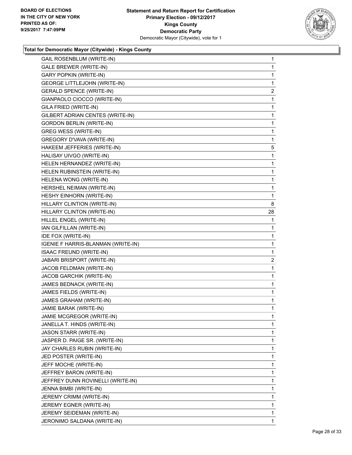

| GAIL ROSENBLUM (WRITE-IN)           | 1              |
|-------------------------------------|----------------|
| GALE BREWER (WRITE-IN)              | 1              |
| <b>GARY POPKIN (WRITE-IN)</b>       | 1              |
| <b>GEORGE LITTLEJOHN (WRITE-IN)</b> | 1              |
| <b>GERALD SPENCE (WRITE-IN)</b>     | 2              |
| GIANPAOLO CIOCCO (WRITE-IN)         | 1              |
| GILA FRIED (WRITE-IN)               | 1              |
| GILBERT ADRIAN CENTES (WRITE-IN)    | 1              |
| <b>GORDON BERLIN (WRITE-IN)</b>     | 1              |
| <b>GREG WESS (WRITE-IN)</b>         | 1              |
| GREGORY D'VAVA (WRITE-IN)           | 1              |
| HAKEEM JEFFERIES (WRITE-IN)         | 5              |
| HALISAY UIVGO (WRITE-IN)            | 1              |
| HELEN HERNANDEZ (WRITE-IN)          | 1              |
| HELEN RUBINSTEIN (WRITE-IN)         | 1              |
| HELENA WONG (WRITE-IN)              | 1              |
| HERSHEL NEIMAN (WRITE-IN)           | 1              |
| HESHY EINHORN (WRITE-IN)            | 1              |
| HILLARY CLINTION (WRITE-IN)         | 8              |
| HILLARY CLINTON (WRITE-IN)          | 28             |
| HILLEL ENGEL (WRITE-IN)             | 1              |
| IAN GILFILLAN (WRITE-IN)            | 1              |
| IDE FOX (WRITE-IN)                  | 1              |
| IGENIE F HARRIS-BLANMAN (WRITE-IN)  | 1              |
| ISAAC FREUND (WRITE-IN)             | 1              |
| JABARI BRISPORT (WRITE-IN)          | $\overline{a}$ |
| JACOB FELDMAN (WRITE-IN)            | 1              |
| <b>JACOB GARCHIK (WRITE-IN)</b>     | 1              |
| JAMES BEDNACK (WRITE-IN)            | 1              |
| JAMES FIELDS (WRITE-IN)             | 1              |
| JAMES GRAHAM (WRITE-IN)             | 1              |
| JAMIE BARAK (WRITE-IN)              | 1              |
| JAMIE MCGREGOR (WRITE-IN)           | 1              |
| JANELLA T. HINDS (WRITE-IN)         | 1              |
| <b>JASON STARR (WRITE-IN)</b>       | 1              |
| JASPER D. PAIGE SR. (WRITE-IN)      | 1              |
| JAY CHARLES RUBIN (WRITE-IN)        | 1              |
| JED POSTER (WRITE-IN)               | 1              |
| JEFF MOCHE (WRITE-IN)               | 1              |
| JEFFREY BARON (WRITE-IN)            | 1              |
| JEFFREY DUNN ROVINELLI (WRITE-IN)   | 1              |
| JENNA BIMBI (WRITE-IN)              | 1              |
| JEREMY CRIMM (WRITE-IN)             |                |
|                                     | 1              |
| JEREMY EGNER (WRITE-IN)             | 1              |
| JEREMY SEIDEMAN (WRITE-IN)          | 1              |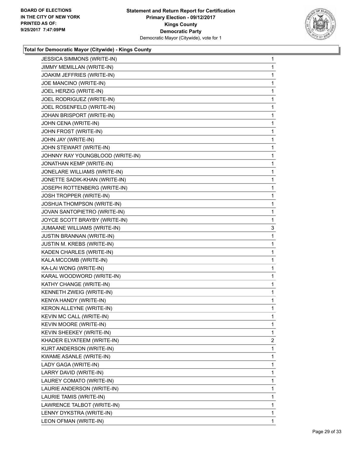

| JESSICA SIMMONS (WRITE-IN)       | 1              |
|----------------------------------|----------------|
| JIMMY MEMILLAN (WRITE-IN)        | 1              |
| JOAKIM JEFFRIES (WRITE-IN)       | 1              |
| JOE MANCINO (WRITE-IN)           | 1              |
| JOEL HERZIG (WRITE-IN)           | 1              |
| JOEL RODRIGUEZ (WRITE-IN)        | 1              |
| JOEL ROSENFELD (WRITE-IN)        | 1              |
| JOHAN BRISPORT (WRITE-IN)        | 1              |
| JOHN CENA (WRITE-IN)             | 1              |
| JOHN FROST (WRITE-IN)            | 1              |
| JOHN JAY (WRITE-IN)              | 1              |
| JOHN STEWART (WRITE-IN)          | 1              |
| JOHNNY RAY YOUNGBLOOD (WRITE-IN) | 1              |
| JONATHAN KEMP (WRITE-IN)         | 1              |
| JONELARE WILLIAMS (WRITE-IN)     | 1              |
| JONETTE SADIK-KHAN (WRITE-IN)    | 1              |
| JOSEPH ROTTENBERG (WRITE-IN)     | 1              |
| JOSH TROPPER (WRITE-IN)          | 1              |
| JOSHUA THOMPSON (WRITE-IN)       | 1              |
| JOVAN SANTOPIETRO (WRITE-IN)     | 1              |
| JOYCE SCOTT BRAYBY (WRITE-IN)    | 1              |
| JUMAANE WILLIAMS (WRITE-IN)      | 3              |
| <b>JUSTIN BRANNAN (WRITE-IN)</b> | 1              |
| JUSTIN M. KREBS (WRITE-IN)       | 1              |
| KADEN CHARLES (WRITE-IN)         | 1              |
| KALA MCCOMB (WRITE-IN)           | 1              |
| KA-LAI WONG (WRITE-IN)           | 1              |
| KARAL WOODWORD (WRITE-IN)        | 1              |
| KATHY CHANGE (WRITE-IN)          | 1              |
| KENNETH ZWEIG (WRITE-IN)         | 1              |
| KENYA HANDY (WRITE-IN)           | 1              |
| KERON ALLEYNE (WRITE-IN)         | 1              |
| KEVIN MC CALL (WRITE-IN)         | 1              |
| KEVIN MOORE (WRITE-IN)           | 1              |
| KEVIN SHEEKEY (WRITE-IN)         | 1              |
| KHADER ELYATEEM (WRITE-IN)       | $\overline{2}$ |
| KURT ANDERSON (WRITE-IN)         | 1              |
| KWAME ASANLE (WRITE-IN)          | 1              |
| LADY GAGA (WRITE-IN)             | 1              |
| LARRY DAVID (WRITE-IN)           | 1              |
| LAUREY COMATO (WRITE-IN)         | 1              |
| LAURIE ANDERSON (WRITE-IN)       | 1              |
| LAURIE TAMIS (WRITE-IN)          | 1              |
| LAWRENCE TALBOT (WRITE-IN)       | 1              |
| LENNY DYKSTRA (WRITE-IN)         | 1              |
| LEON OFMAN (WRITE-IN)            | 1              |
|                                  |                |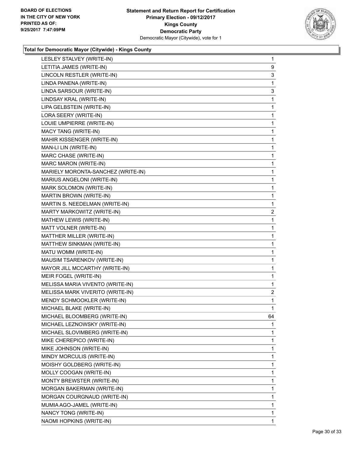

| LESLEY STALVEY (WRITE-IN)          | 1            |
|------------------------------------|--------------|
| LETITIA JAMES (WRITE-IN)           | 9            |
| LINCOLN RESTLER (WRITE-IN)         | 3            |
| LINDA PANENA (WRITE-IN)            | 1            |
| LINDA SARSOUR (WRITE-IN)           | 3            |
| LINDSAY KRAL (WRITE-IN)            | 1            |
| LIPA GELBSTEIN (WRITE-IN)          | 1            |
| LORA SEERY (WRITE-IN)              | 1            |
| LOUIE UMPIERRE (WRITE-IN)          | 1            |
| MACY TANG (WRITE-IN)               | 1            |
| MAHIR KISSENGER (WRITE-IN)         | 1            |
| MAN-LI LIN (WRITE-IN)              | 1            |
| MARC CHASE (WRITE-IN)              | 1            |
| MARC MARON (WRITE-IN)              | 1            |
| MARIELY MORONTA-SANCHEZ (WRITE-IN) | 1            |
| MARIUS ANGELONI (WRITE-IN)         | 1            |
| MARK SOLOMON (WRITE-IN)            | 1            |
| MARTIN BROWN (WRITE-IN)            | 1            |
| MARTIN S. NEEDELMAN (WRITE-IN)     | 1            |
| MARTY MARKOWITZ (WRITE-IN)         | 2            |
| MATHEW LEWIS (WRITE-IN)            | 1            |
| MATT VOLNER (WRITE-IN)             | 1            |
| MATTHER MILLER (WRITE-IN)          | 1            |
| MATTHEW SINKMAN (WRITE-IN)         | 1            |
| MATU WOMM (WRITE-IN)               | 1            |
| MAUSIM TSARENKOV (WRITE-IN)        | 1            |
| MAYOR JILL MCCARTHY (WRITE-IN)     | 1            |
| MEIR FOGEL (WRITE-IN)              | 1            |
| MELISSA MARIA VIVENTO (WRITE-IN)   | 1            |
| MELISSA MARK VIVERITO (WRITE-IN)   | $\mathbf{2}$ |
| MENDY SCHMOOKLER (WRITE-IN)        | 1            |
| MICHAEL BLAKE (WRITE-IN)           | 1            |
| MICHAEL BLOOMBERG (WRITE-IN)       | 64           |
| MICHAEL LEZNOWSKY (WRITE-IN)       | 1            |
| MICHAEL SLOVIMBERG (WRITE-IN)      | 1            |
| MIKE CHEREPICO (WRITE-IN)          | 1            |
| MIKE JOHNSON (WRITE-IN)            | 1            |
| MINDY MORCULIS (WRITE-IN)          | 1            |
| MOISHY GOLDBERG (WRITE-IN)         | 1            |
| MOLLY COOGAN (WRITE-IN)            | 1            |
| MONTY BREWSTER (WRITE-IN)          | 1            |
| MORGAN BAKERMAN (WRITE-IN)         | 1            |
| MORGAN COURGNAUD (WRITE-IN)        | 1            |
| MUMIA AGO-JAMEL (WRITE-IN)         | 1            |
| NANCY TONG (WRITE-IN)              | 1            |
| NAOMI HOPKINS (WRITE-IN)           | 1            |
|                                    |              |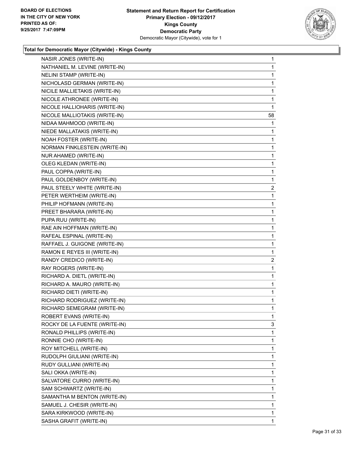

| NASIR JONES (WRITE-IN)         | 1              |
|--------------------------------|----------------|
| NATHANIEL M. LEVINE (WRITE-IN) | 1              |
| NELINI STAMP (WRITE-IN)        | 1              |
| NICHOLASD GERMAN (WRITE-IN)    | 1              |
| NICILE MALLIETAKIS (WRITE-IN)  | 1              |
| NICOLE ATHRONEE (WRITE-IN)     | 1              |
| NICOLE HALLIOHARIS (WRITE-IN)  | 1              |
| NICOLE MALLIOTAKIS (WRITE-IN)  | 58             |
| NIDAA MAHMOOD (WRITE-IN)       | 1              |
| NIEDE MALLATAKIS (WRITE-IN)    | 1              |
| NOAH FOSTER (WRITE-IN)         | 1              |
| NORMAN FINKLESTEIN (WRITE-IN)  | 1              |
| NUR AHAMED (WRITE-IN)          | 1              |
| OLEG KLEDAN (WRITE-IN)         | 1              |
| PAUL COPPA (WRITE-IN)          | 1              |
| PAUL GOLDENBOY (WRITE-IN)      | 1              |
| PAUL STEELY WHITE (WRITE-IN)   | 2              |
| PETER WERTHEIM (WRITE-IN)      | 1              |
| PHILIP HOFMANN (WRITE-IN)      | 1              |
| PREET BHARARA (WRITE-IN)       | 1              |
| PUPA RUU (WRITE-IN)            | 1              |
| RAE AIN HOFFMAN (WRITE-IN)     | 1              |
| RAFEAL ESPINAL (WRITE-IN)      | 1              |
| RAFFAEL J. GUIGONE (WRITE-IN)  | 1              |
| RAMON E REYES III (WRITE-IN)   | 1              |
| RANDY CREDICO (WRITE-IN)       | $\overline{2}$ |
| RAY ROGERS (WRITE-IN)          | 1              |
| RICHARD A. DIETL (WRITE-IN)    | 1              |
| RICHARD A. MAURO (WRITE-IN)    | 1              |
| RICHARD DIETI (WRITE-IN)       | 1              |
| RICHARD RODRIGUEZ (WRITE-IN)   | 1              |
| RICHARD SEMEGRAM (WRITE-IN)    | $\mathbf{1}$   |
| ROBERT EVANS (WRITE-IN)        | 1              |
| ROCKY DE LA FUENTE (WRITE-IN)  | 3              |
| RONALD PHILLIPS (WRITE-IN)     | 1              |
| RONNIE CHO (WRITE-IN)          | 1              |
| ROY MITCHELL (WRITE-IN)        | 1              |
| RUDOLPH GIULIANI (WRITE-IN)    | 1              |
| RUDY GULLIANI (WRITE-IN)       | 1              |
| SALI OKKA (WRITE-IN)           | 1              |
| SALVATORE CURRO (WRITE-IN)     | 1              |
| SAM SCHWARTZ (WRITE-IN)        | 1              |
| SAMANTHA M BENTON (WRITE-IN)   | 1              |
| SAMUEL J. CHESIR (WRITE-IN)    | 1              |
| SARA KIRKWOOD (WRITE-IN)       | 1              |
| SASHA GRAFIT (WRITE-IN)        | 1              |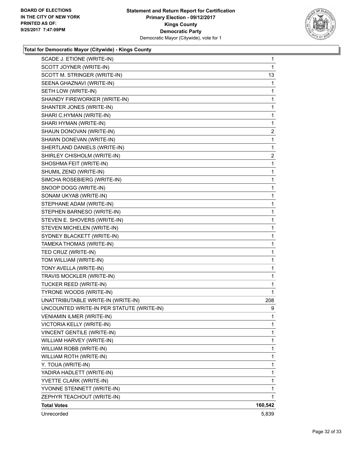

| SCADE J. ETIONE (WRITE-IN)                | $\mathbf{1}$            |
|-------------------------------------------|-------------------------|
| SCOTT JOYNER (WRITE-IN)                   | 1                       |
| SCOTT M. STRINGER (WRITE-IN)              | 13                      |
| SEENA GHAZNAVI (WRITE-IN)                 | 1                       |
| SETH LOW (WRITE-IN)                       | 1                       |
| SHAINDY FIREWORKER (WRITE-IN)             | 1                       |
| SHANTER JONES (WRITE-IN)                  | 1                       |
| SHARI C.HYMAN (WRITE-IN)                  | $\mathbf{1}$            |
| SHARI HYMAN (WRITE-IN)                    | 1                       |
| SHAUN DONOVAN (WRITE-IN)                  | $\overline{\mathbf{c}}$ |
| SHAWN DONEVAN (WRITE-IN)                  | 1                       |
| SHERTLAND DANIELS (WRITE-IN)              | 1                       |
| SHIRLEY CHISHOLM (WRITE-IN)               | 2                       |
| SHOSHMA FEIT (WRITE-IN)                   | $\mathbf{1}$            |
| SHUMIL ZEND (WRITE-IN)                    | 1                       |
| SIMCHA ROSEBIERG (WRITE-IN)               | 1                       |
| SNOOP DOGG (WRITE-IN)                     | 1                       |
| SONAM UKYAB (WRITE-IN)                    | 1                       |
| STEPHANE ADAM (WRITE-IN)                  | 1                       |
| STEPHEN BARNESO (WRITE-IN)                | 1                       |
| STEVEN E. SHOVERS (WRITE-IN)              | 1                       |
| STEVEN MICHELEN (WRITE-IN)                | 1                       |
| SYDNEY BLACKETT (WRITE-IN)                | 1                       |
| TAMEKA THOMAS (WRITE-IN)                  | 1                       |
| TED CRUZ (WRITE-IN)                       | 1                       |
| TOM WILLIAM (WRITE-IN)                    | 1                       |
| TONY AVELLA (WRITE-IN)                    | 1                       |
| TRAVIS MOCKLER (WRITE-IN)                 | 1                       |
| TUCKER REED (WRITE-IN)                    | 1                       |
| TYRONE WOODS (WRITE-IN)                   | 1                       |
| UNATTRIBUTABLE WRITE-IN (WRITE-IN)        | 208                     |
| UNCOUNTED WRITE-IN PER STATUTE (WRITE-IN) | 9                       |
| <b>VENIAMIN ILMER (WRITE-IN)</b>          | $\mathbf 1$             |
| VICTORIA KELLY (WRITE-IN)                 | 1                       |
| VINCENT GENTILE (WRITE-IN)                | $\mathbf{1}$            |
| WILLIAM HARVEY (WRITE-IN)                 | 1                       |
| WILLIAM ROBB (WRITE-IN)                   | 1                       |
| WILLIAM ROTH (WRITE-IN)                   | 1                       |
| Y. TOUA (WRITE-IN)                        | 1                       |
| YADIRA HADLETT (WRITE-IN)                 | 1                       |
| YVETTE CLARK (WRITE-IN)                   | $\mathbf{1}$            |
| YVONNE STENNETT (WRITE-IN)                | 1                       |
| ZEPHYR TEACHOUT (WRITE-IN)                | 1                       |
| <b>Total Votes</b>                        | 160,542                 |
| Unrecorded                                | 5,839                   |